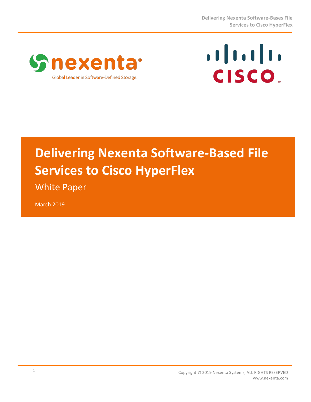



# **Delivering Nexenta Software-Based File Services to Cisco HyperFlex**

**White Paper** 

March 2019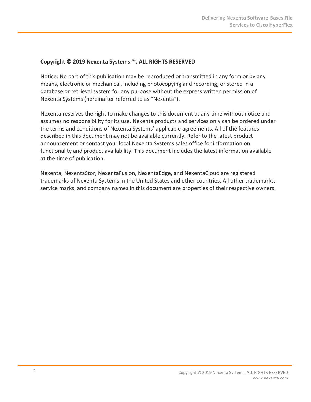#### Copyright © 2019 Nexenta Systems ™, ALL RIGHTS RESERVED

Notice: No part of this publication may be reproduced or transmitted in any form or by any means, electronic or mechanical, including photocopying and recording, or stored in a database or retrieval system for any purpose without the express written permission of Nexenta Systems (hereinafter referred to as "Nexenta").

Nexenta reserves the right to make changes to this document at any time without notice and assumes no responsibility for its use. Nexenta products and services only can be ordered under the terms and conditions of Nexenta Systems' applicable agreements. All of the features described in this document may not be available currently. Refer to the latest product announcement or contact your local Nexenta Systems sales office for information on functionality and product availability. This document includes the latest information available at the time of publication.

Nexenta, NexentaStor, NexentaFusion, NexentaEdge, and NexentaCloud are registered trademarks of Nexenta Systems in the United States and other countries. All other trademarks, service marks, and company names in this document are properties of their respective owners.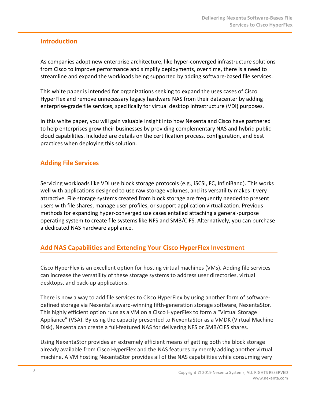# **Introduction**

As companies adopt new enterprise architecture, like hyper-converged infrastructure solutions from Cisco to improve performance and simplify deployments, over time, there is a need to streamline and expand the workloads being supported by adding software-based file services.

This white paper is intended for organizations seeking to expand the uses cases of Cisco HyperFlex and remove unnecessary legacy hardware NAS from their datacenter by adding enterprise-grade file services, specifically for virtual desktop infrastructure (VDI) purposes.

In this white paper, you will gain valuable insight into how Nexenta and Cisco have partnered to help enterprises grow their businesses by providing complementary NAS and hybrid public cloud capabilities. Included are details on the certification process, configuration, and best practices when deploying this solution.

# **Adding File Services**

Servicing workloads like VDI use block storage protocols (e.g., iSCSI, FC, InfiniBand). This works well with applications designed to use raw storage volumes, and its versatility makes it very attractive. File storage systems created from block storage are frequently needed to present users with file shares, manage user profiles, or support application virtualization. Previous methods for expanding hyper-converged use cases entailed attaching a general-purpose operating system to create file systems like NFS and SMB/CIFS. Alternatively, you can purchase a dedicated NAS hardware appliance.

# **Add NAS Capabilities and Extending Your Cisco HyperFlex Investment**

Cisco HyperFlex is an excellent option for hosting virtual machines (VMs). Adding file services can increase the versatility of these storage systems to address user directories, virtual desktops, and back-up applications.

There is now a way to add file services to Cisco HyperFlex by using another form of softwaredefined storage via Nexenta's award-winning fifth-generation storage software, NexentaStor. This highly efficient option runs as a VM on a Cisco HyperFlex to form a "Virtual Storage Appliance" (VSA). By using the capacity presented to NexentaStor as a VMDK (Virtual Machine Disk), Nexenta can create a full-featured NAS for delivering NFS or SMB/CIFS shares.

Using NexentaStor provides an extremely efficient means of getting both the block storage already available from Cisco HyperFlex and the NAS features by merely adding another virtual machine. A VM hosting NexentaStor provides all of the NAS capabilities while consuming very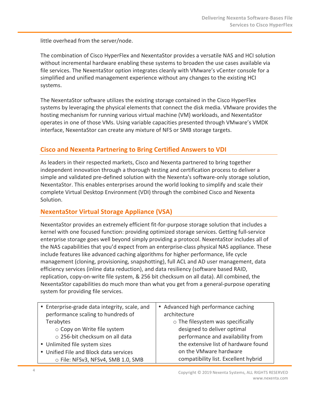little overhead from the server/node.

The combination of Cisco HyperFlex and NexentaStor provides a versatile NAS and HCI solution without incremental hardware enabling these systems to broaden the use cases available via file services. The NexentaStor option integrates cleanly with VMware's vCenter console for a simplified and unified management experience without any changes to the existing HCI systems.

The NexentaStor software utilizes the existing storage contained in the Cisco HyperFlex systems by leveraging the physical elements that connect the disk media. VMware provides the hosting mechanism for running various virtual machine (VM) workloads, and NexentaStor operates in one of those VMs. Using variable capacities presented through VMware's VMDK interface, NexentaStor can create any mixture of NFS or SMB storage targets.

# **Cisco and Nexenta Partnering to Bring Certified Answers to VDI**

As leaders in their respected markets, Cisco and Nexenta partnered to bring together independent innovation through a thorough testing and certification process to deliver a simple and validated pre-defined solution with the Nexenta's software-only storage solution, NexentaStor. This enables enterprises around the world looking to simplify and scale their complete Virtual Desktop Environment (VDI) through the combined Cisco and Nexenta Solution.

# **NexentaStor Virtual Storage Appliance (VSA)**

NexentaStor provides an extremely efficient fit-for-purpose storage solution that includes a kernel with one focused function: providing optimized storage services. Getting full-service enterprise storage goes well beyond simply providing a protocol. NexentaStor includes all of the NAS capabilities that you'd expect from an enterprise-class physical NAS appliance. These include features like advanced caching algorithms for higher performance, life cycle management (cloning, provisioning, snapshotting), full ACL and AD user management, data efficiency services (inline data reduction), and data resiliency (software based RAID, replication, copy-on-write file system, & 256 bit checksum on all data). All combined, the NexentaStor capabilities do much more than what you get from a general-purpose operating system for providing file services.

| • Enterprise-grade data integrity, scale, and | • Advanced high performance caching     |  |  |
|-----------------------------------------------|-----------------------------------------|--|--|
| performance scaling to hundreds of            | architecture                            |  |  |
| Terabytes                                     | $\circ$ The filesystem was specifically |  |  |
| ○ Copy on Write file system                   | designed to deliver optimal             |  |  |
| o 256-bit checksum on all data                | performance and availability from       |  |  |
| • Unlimited file system sizes                 | the extensive list of hardware found    |  |  |
| • Unified File and Block data services        | on the VMware hardware                  |  |  |
| O File: NFSv3, NFSv4, SMB 1.0, SMB            | compatibility list. Excellent hybrid    |  |  |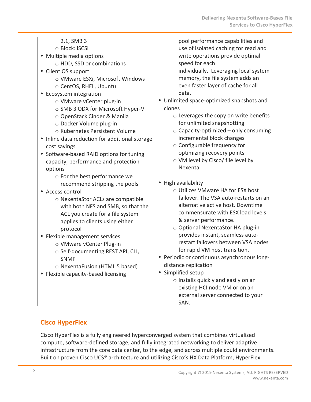| 2.1, SMB 3<br>○ Block: iSCSI<br>• Multiple media options<br>o HDD, SSD or combinations<br>• Client OS support                                                                                                   | pool performance capabilities and<br>use of isolated caching for read and<br>write operations provide optimal<br>speed for each<br>individually. Leveraging local system                                                                  |
|-----------------------------------------------------------------------------------------------------------------------------------------------------------------------------------------------------------------|-------------------------------------------------------------------------------------------------------------------------------------------------------------------------------------------------------------------------------------------|
| o VMware ESXi, Microsoft Windows<br>○ CentOS, RHEL, Ubuntu<br>• Ecosystem integration                                                                                                                           | memory, the file system adds an<br>even faster layer of cache for all<br>data.<br>• Unlimited space-optimized snapshots and                                                                                                               |
| o VMware vCenter plug-in<br>o SMB 3 ODX for Microsoft Hyper-V<br>○ OpenStack Cinder & Manila<br>o Docker Volume plug-in<br>o Kubernetes Persistent Volume                                                       | clones<br>$\circ$ Leverages the copy on write benefits<br>for unlimited snapshotting<br>$\circ$ Capacity-optimized – only consuming                                                                                                       |
| • Inline data reduction for additional storage<br>cost savings                                                                                                                                                  | incremental block changes<br>$\circ$ Configurable frequency for                                                                                                                                                                           |
| • Software-based RAID options for tuning<br>capacity, performance and protection<br>options<br>$\circ$ For the best performance we                                                                              | optimizing recovery points<br>o VM level by Cisco/ file level by<br>Nexenta                                                                                                                                                               |
| recommend stripping the pools<br>• Access control<br>o NexentaStor ACLs are compatible<br>with both NFS and SMB, so that the<br>ACL you create for a file system<br>applies to clients using either<br>protocol | • High availability<br>○ Utilizes VMware HA for ESX host<br>failover. The VSA auto-restarts on an<br>alternative active host. Downtime<br>commensurate with ESX load levels<br>& server performance.<br>○ Optional NexentaStor HA plug-in |
| • Flexible management services<br>o VMware vCenter Plug-in<br>o Self-documenting REST API, CLI,<br><b>SNMP</b><br>○ NexentaFusion (HTML 5 based)<br>• Flexible capacity-based licensing                         | provides instant, seamless auto-<br>restart failovers between VSA nodes<br>for rapid VM host transition.<br>• Periodic or continuous asynchronous long-<br>distance replication                                                           |
|                                                                                                                                                                                                                 | Simplified setup<br>o Installs quickly and easily on an<br>existing HCI node VM or on an<br>external server connected to your<br>SAN.                                                                                                     |

# **Cisco HyperFlex**

Cisco HyperFlex is a fully engineered hyperconverged system that combines virtualized compute, software-defined storage, and fully integrated networking to deliver adaptive infrastructure from the core data center, to the edge, and across multiple could environments. Built on proven Cisco UCS® architecture and utilizing Cisco's HX Data Platform, HyperFlex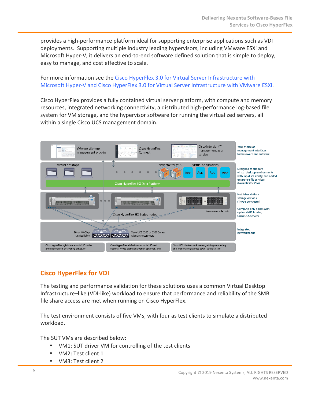provides a high-performance platform ideal for supporting enterprise applications such as VDI deployments. Supporting multiple industry leading hypervisors, including VMware ESXi and Microsoft Hyper-V, it delivers an end-to-end software defined solution that is simple to deploy, easy to manage, and cost effective to scale.

### For more information see the Cisco HyperFlex 3.0 for Virtual Server Infrastructure with Microsoft Hyper-V and Cisco HyperFlex 3.0 for Virtual Server Infrastructure with VMware ESXi.

Cisco HyperFlex provides a fully contained virtual server platform, with compute and memory resources, integrated networking connectivity, a distributed high-performance log-based file system for VM storage, and the hypervisor software for running the virtualized servers, all within a single Cisco UCS management domain.



# **Cisco HyperFlex for VDI**

The testing and performance validation for these solutions uses a common Virtual Desktop Infrastructure–like (VDI-like) workload to ensure that performance and reliability of the SMB file share access are met when running on Cisco HyperFlex.

The test environment consists of five VMs, with four as test clients to simulate a distributed workload. 

The SUT VMs are described below:

- VM1: SUT driver VM for controlling of the test clients
- VM2: Test client 1
- VM3: Test client 2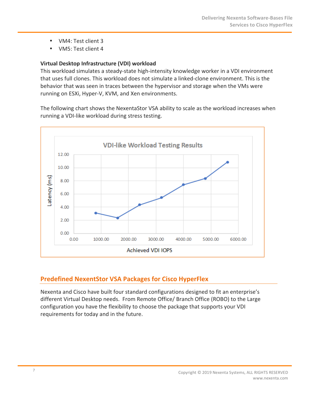- VM4: Test client 3
- VM5: Test client 4

### **Virtual Desktop Infrastructure (VDI) workload**

This workload simulates a steady-state high-intensity knowledge worker in a VDI environment that uses full clones. This workload does not simulate a linked-clone environment. This is the behavior that was seen in traces between the hypervisor and storage when the VMs were running on ESXi, Hyper-V, KVM, and Xen environments.

The following chart shows the NexentaStor VSA ability to scale as the workload increases when running a VDI-like workload during stress testing.



# **Predefined NexentStor VSA Packages for Cisco HyperFlex**

Nexenta and Cisco have built four standard configurations designed to fit an enterprise's different Virtual Desktop needs. From Remote Office/ Branch Office (ROBO) to the Large configuration you have the flexibility to choose the package that supports your VDI requirements for today and in the future.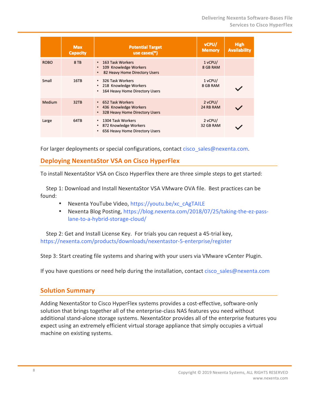|             | <b>Max</b><br><b>Capacity</b> | <b>Potential Target</b><br>use cases $(*)$                                                  | vCPU/<br><b>Memory</b> | <b>High</b><br><b>Availability</b> |
|-------------|-------------------------------|---------------------------------------------------------------------------------------------|------------------------|------------------------------------|
| <b>ROBO</b> | 8 TB                          | • 163 Task Workers<br>109 Knowledge Workers<br>٠<br>82 Heavy Home Directory Users<br>٠      | $1$ vCPU/<br>8 GB RAM  |                                    |
| Small       | 16TB                          | 326 Task Workers<br>٠<br>• 218 Knowledge Workers<br>164 Heavy Home Directory Users<br>٠     | 1 vCPU/<br>8 GB RAM    |                                    |
| Medium      | 32TB                          | • 652 Task Workers<br>• 436 Knowledge Workers<br>328 Heavy Home Directory Users<br>٠        | 2 vCPU/<br>24 RB RAM   |                                    |
| Large       | 64TB                          | 1304 Task Workers<br>٠<br>872 Knowledge Workers<br>٠<br>656 Heavy Home Directory Users<br>٠ | 2 vCPU/<br>32 GB RAM   |                                    |

For larger deployments or special configurations, contact cisco\_sales@nexenta.com.

# **Deploying NexentaStor VSA on Cisco HyperFlex**

To install NexentaStor VSA on Cisco HyperFlex there are three simple steps to get started:

Step 1: Download and Install NexentaStor VSA VMware OVA file. Best practices can be found: 

- Nexenta YouTube Video, https://youtu.be/xc\_cAgTAILE
- Nexenta Blog Posting, https://blog.nexenta.com/2018/07/25/taking-the-ez-passlane-to-a-hybrid-storage-cloud/

Step 2: Get and Install License Key. For trials you can request a 45-trial key, https://nexenta.com/products/downloads/nexentastor-5-enterprise/register

Step 3: Start creating file systems and sharing with your users via VMware vCenter Plugin.

If you have questions or need help during the installation, contact cisco sales@nexenta.com

# **Solution Summary**

Adding NexentaStor to Cisco HyperFlex systems provides a cost-effective, software-only solution that brings together all of the enterprise-class NAS features you need without additional stand-alone storage systems. NexentaStor provides all of the enterprise features you expect using an extremely efficient virtual storage appliance that simply occupies a virtual machine on existing systems.